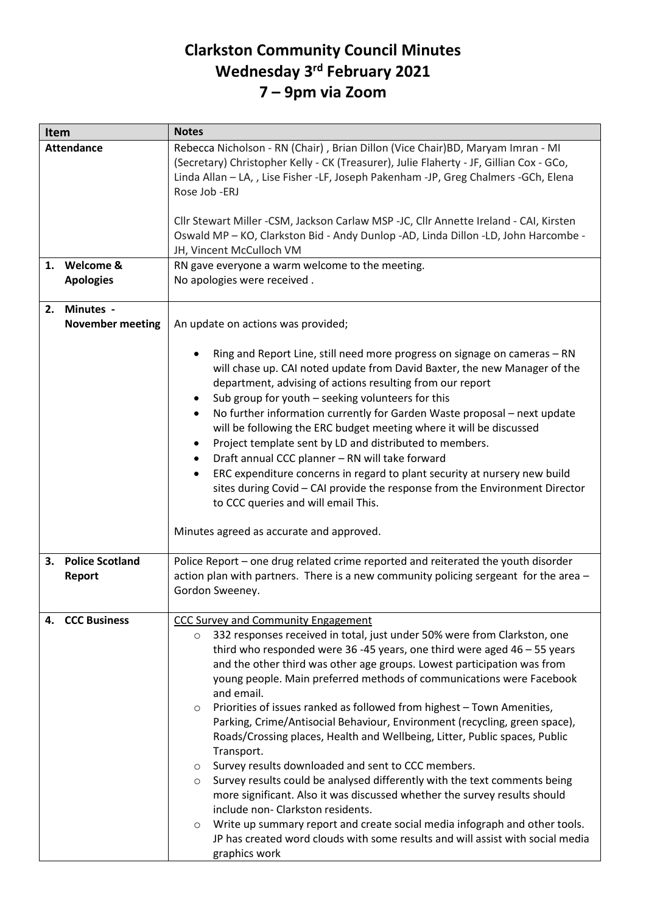## **Clarkston Community Council Minutes Wednesday 3 rd February 2021 7 – 9pm via Zoom**

| <b>Item</b>       |                                  | <b>Notes</b>                                                                                                                                                                                                                                                                                                                                                                                                                                                                                                                                                                                                                                                                                                                                                                                                                                                                                                                                                                                                                                                                                                    |  |  |
|-------------------|----------------------------------|-----------------------------------------------------------------------------------------------------------------------------------------------------------------------------------------------------------------------------------------------------------------------------------------------------------------------------------------------------------------------------------------------------------------------------------------------------------------------------------------------------------------------------------------------------------------------------------------------------------------------------------------------------------------------------------------------------------------------------------------------------------------------------------------------------------------------------------------------------------------------------------------------------------------------------------------------------------------------------------------------------------------------------------------------------------------------------------------------------------------|--|--|
| <b>Attendance</b> |                                  | Rebecca Nicholson - RN (Chair), Brian Dillon (Vice Chair)BD, Maryam Imran - MI<br>(Secretary) Christopher Kelly - CK (Treasurer), Julie Flaherty - JF, Gillian Cox - GCo,<br>Linda Allan - LA, , Lise Fisher - LF, Joseph Pakenham - JP, Greg Chalmers - GCh, Elena<br>Rose Job - ERJ<br>Cllr Stewart Miller -CSM, Jackson Carlaw MSP -JC, Cllr Annette Ireland - CAI, Kirsten<br>Oswald MP - KO, Clarkston Bid - Andy Dunlop -AD, Linda Dillon -LD, John Harcombe -<br>JH, Vincent McCulloch VM                                                                                                                                                                                                                                                                                                                                                                                                                                                                                                                                                                                                                |  |  |
|                   | 1. Welcome &                     | RN gave everyone a warm welcome to the meeting.                                                                                                                                                                                                                                                                                                                                                                                                                                                                                                                                                                                                                                                                                                                                                                                                                                                                                                                                                                                                                                                                 |  |  |
| <b>Apologies</b>  |                                  | No apologies were received.                                                                                                                                                                                                                                                                                                                                                                                                                                                                                                                                                                                                                                                                                                                                                                                                                                                                                                                                                                                                                                                                                     |  |  |
|                   |                                  |                                                                                                                                                                                                                                                                                                                                                                                                                                                                                                                                                                                                                                                                                                                                                                                                                                                                                                                                                                                                                                                                                                                 |  |  |
| 2.                | Minutes -                        |                                                                                                                                                                                                                                                                                                                                                                                                                                                                                                                                                                                                                                                                                                                                                                                                                                                                                                                                                                                                                                                                                                                 |  |  |
|                   | <b>November meeting</b>          | An update on actions was provided;                                                                                                                                                                                                                                                                                                                                                                                                                                                                                                                                                                                                                                                                                                                                                                                                                                                                                                                                                                                                                                                                              |  |  |
|                   |                                  | Ring and Report Line, still need more progress on signage on cameras - RN<br>will chase up. CAI noted update from David Baxter, the new Manager of the<br>department, advising of actions resulting from our report<br>Sub group for youth - seeking volunteers for this<br>No further information currently for Garden Waste proposal - next update<br>$\bullet$<br>will be following the ERC budget meeting where it will be discussed<br>Project template sent by LD and distributed to members.<br>Draft annual CCC planner - RN will take forward<br>ERC expenditure concerns in regard to plant security at nursery new build<br>sites during Covid - CAI provide the response from the Environment Director<br>to CCC queries and will email This.<br>Minutes agreed as accurate and approved.                                                                                                                                                                                                                                                                                                           |  |  |
| 3.                | <b>Police Scotland</b><br>Report | Police Report - one drug related crime reported and reiterated the youth disorder<br>action plan with partners. There is a new community policing sergeant for the area -<br>Gordon Sweeney.                                                                                                                                                                                                                                                                                                                                                                                                                                                                                                                                                                                                                                                                                                                                                                                                                                                                                                                    |  |  |
|                   | 4. CCC Business                  | CCC Survey and Community Engagement<br>332 responses received in total, just under 50% were from Clarkston, one<br>$\circ$<br>third who responded were 36 -45 years, one third were aged $46 - 55$ years<br>and the other third was other age groups. Lowest participation was from<br>young people. Main preferred methods of communications were Facebook<br>and email.<br>Priorities of issues ranked as followed from highest - Town Amenities,<br>$\circ$<br>Parking, Crime/Antisocial Behaviour, Environment (recycling, green space),<br>Roads/Crossing places, Health and Wellbeing, Litter, Public spaces, Public<br>Transport.<br>Survey results downloaded and sent to CCC members.<br>$\circ$<br>Survey results could be analysed differently with the text comments being<br>$\circ$<br>more significant. Also it was discussed whether the survey results should<br>include non- Clarkston residents.<br>Write up summary report and create social media infograph and other tools.<br>$\circ$<br>JP has created word clouds with some results and will assist with social media<br>graphics work |  |  |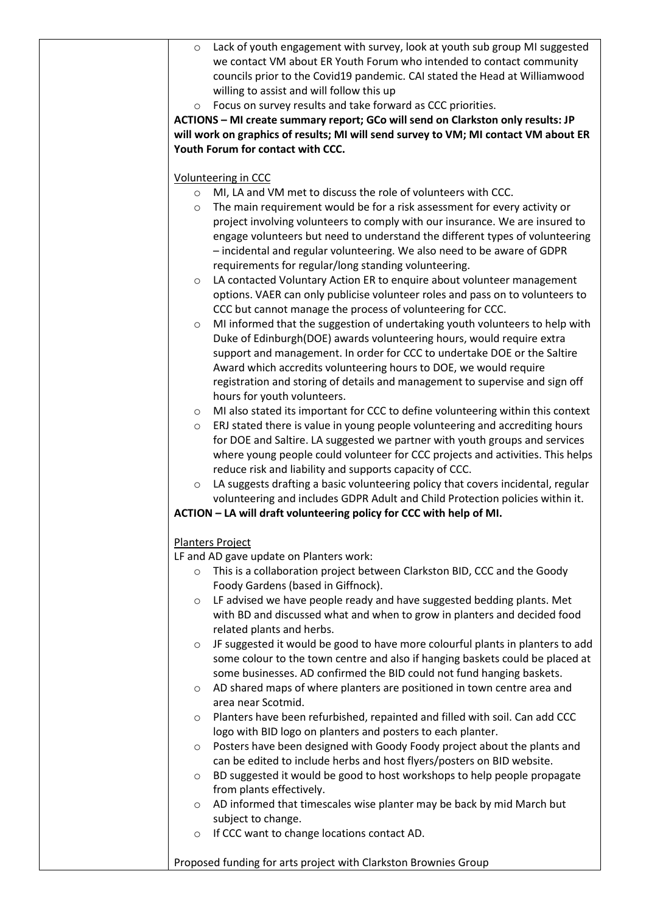| Lack of youth engagement with survey, look at youth sub group MI suggested<br>$\circ$<br>we contact VM about ER Youth Forum who intended to contact community |
|---------------------------------------------------------------------------------------------------------------------------------------------------------------|
| councils prior to the Covid19 pandemic. CAI stated the Head at Williamwood                                                                                    |
| willing to assist and will follow this up                                                                                                                     |
| Focus on survey results and take forward as CCC priorities.<br>$\circ$                                                                                        |
| ACTIONS - MI create summary report; GCo will send on Clarkston only results: JP                                                                               |
| will work on graphics of results; MI will send survey to VM; MI contact VM about ER                                                                           |
| Youth Forum for contact with CCC.                                                                                                                             |
| <b>Volunteering in CCC</b>                                                                                                                                    |
| MI, LA and VM met to discuss the role of volunteers with CCC.<br>$\circ$                                                                                      |
| The main requirement would be for a risk assessment for every activity or<br>O                                                                                |
| project involving volunteers to comply with our insurance. We are insured to                                                                                  |
| engage volunteers but need to understand the different types of volunteering                                                                                  |
| - incidental and regular volunteering. We also need to be aware of GDPR                                                                                       |
| requirements for regular/long standing volunteering.                                                                                                          |
| LA contacted Voluntary Action ER to enquire about volunteer management<br>$\circ$                                                                             |
| options. VAER can only publicise volunteer roles and pass on to volunteers to                                                                                 |
| CCC but cannot manage the process of volunteering for CCC.                                                                                                    |
| MI informed that the suggestion of undertaking youth volunteers to help with<br>$\circ$                                                                       |
| Duke of Edinburgh(DOE) awards volunteering hours, would require extra                                                                                         |
| support and management. In order for CCC to undertake DOE or the Saltire                                                                                      |
| Award which accredits volunteering hours to DOE, we would require                                                                                             |
| registration and storing of details and management to supervise and sign off                                                                                  |
| hours for youth volunteers.                                                                                                                                   |
| MI also stated its important for CCC to define volunteering within this context<br>$\circ$                                                                    |
| ERJ stated there is value in young people volunteering and accrediting hours<br>$\circ$                                                                       |
| for DOE and Saltire. LA suggested we partner with youth groups and services                                                                                   |
| where young people could volunteer for CCC projects and activities. This helps                                                                                |
| reduce risk and liability and supports capacity of CCC.<br>LA suggests drafting a basic volunteering policy that covers incidental, regular                   |
| $\circ$<br>volunteering and includes GDPR Adult and Child Protection policies within it.                                                                      |
| ACTION - LA will draft volunteering policy for CCC with help of MI.                                                                                           |
|                                                                                                                                                               |
| Planters Project                                                                                                                                              |
| LF and AD gave update on Planters work:                                                                                                                       |
| This is a collaboration project between Clarkston BID, CCC and the Goody<br>$\circ$                                                                           |
| Foody Gardens (based in Giffnock).                                                                                                                            |
| LF advised we have people ready and have suggested bedding plants. Met<br>$\circ$                                                                             |
| with BD and discussed what and when to grow in planters and decided food                                                                                      |
| related plants and herbs.                                                                                                                                     |
| JF suggested it would be good to have more colourful plants in planters to add<br>$\circ$                                                                     |
| some colour to the town centre and also if hanging baskets could be placed at                                                                                 |
| some businesses. AD confirmed the BID could not fund hanging baskets.                                                                                         |
| AD shared maps of where planters are positioned in town centre area and<br>$\circ$<br>area near Scotmid.                                                      |
| Planters have been refurbished, repainted and filled with soil. Can add CCC<br>$\circ$                                                                        |
| logo with BID logo on planters and posters to each planter.                                                                                                   |
| Posters have been designed with Goody Foody project about the plants and<br>$\circ$                                                                           |
| can be edited to include herbs and host flyers/posters on BID website.                                                                                        |
| BD suggested it would be good to host workshops to help people propagate<br>$\circ$                                                                           |
| from plants effectively.                                                                                                                                      |
| AD informed that timescales wise planter may be back by mid March but<br>$\circ$                                                                              |
| subject to change.                                                                                                                                            |
| If CCC want to change locations contact AD.<br>$\circ$                                                                                                        |
|                                                                                                                                                               |
| Proposed funding for arts project with Clarkston Brownies Group                                                                                               |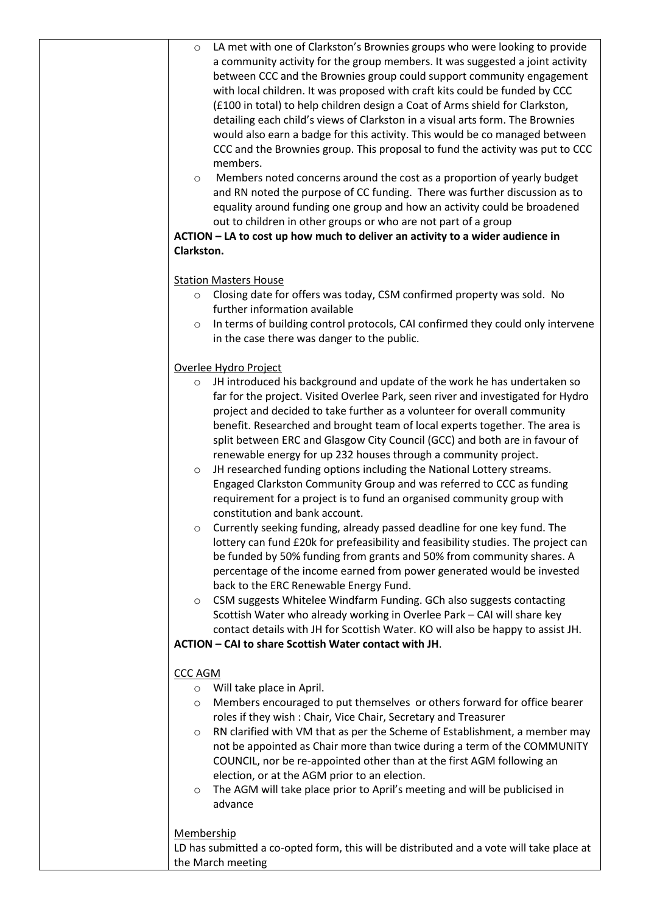| $\circ$        | LA met with one of Clarkston's Brownies groups who were looking to provide               |
|----------------|------------------------------------------------------------------------------------------|
|                | a community activity for the group members. It was suggested a joint activity            |
|                | between CCC and the Brownies group could support community engagement                    |
|                | with local children. It was proposed with craft kits could be funded by CCC              |
|                |                                                                                          |
|                | (£100 in total) to help children design a Coat of Arms shield for Clarkston,             |
|                | detailing each child's views of Clarkston in a visual arts form. The Brownies            |
|                | would also earn a badge for this activity. This would be co managed between              |
|                | CCC and the Brownies group. This proposal to fund the activity was put to CCC            |
|                | members.                                                                                 |
| $\circ$        | Members noted concerns around the cost as a proportion of yearly budget                  |
|                | and RN noted the purpose of CC funding. There was further discussion as to               |
|                | equality around funding one group and how an activity could be broadened                 |
|                | out to children in other groups or who are not part of a group                           |
|                | ACTION - LA to cost up how much to deliver an activity to a wider audience in            |
| Clarkston.     |                                                                                          |
|                | <b>Station Masters House</b>                                                             |
| $\circ$        | Closing date for offers was today, CSM confirmed property was sold. No                   |
|                | further information available                                                            |
| $\circ$        | In terms of building control protocols, CAI confirmed they could only intervene          |
|                | in the case there was danger to the public.                                              |
|                |                                                                                          |
|                | Overlee Hydro Project                                                                    |
| $\circ$        | JH introduced his background and update of the work he has undertaken so                 |
|                | far for the project. Visited Overlee Park, seen river and investigated for Hydro         |
|                | project and decided to take further as a volunteer for overall community                 |
|                | benefit. Researched and brought team of local experts together. The area is              |
|                | split between ERC and Glasgow City Council (GCC) and both are in favour of               |
|                | renewable energy for up 232 houses through a community project.                          |
| $\circ$        | JH researched funding options including the National Lottery streams.                    |
|                | Engaged Clarkston Community Group and was referred to CCC as funding                     |
|                | requirement for a project is to fund an organised community group with                   |
|                | constitution and bank account.                                                           |
| $\circ$        | Currently seeking funding, already passed deadline for one key fund. The                 |
|                | lottery can fund £20k for prefeasibility and feasibility studies. The project can        |
|                | be funded by 50% funding from grants and 50% from community shares. A                    |
|                | percentage of the income earned from power generated would be invested                   |
|                | back to the ERC Renewable Energy Fund.                                                   |
|                |                                                                                          |
| $\circ$        | CSM suggests Whitelee Windfarm Funding. GCh also suggests contacting                     |
|                | Scottish Water who already working in Overlee Park - CAI will share key                  |
|                | contact details with JH for Scottish Water. KO will also be happy to assist JH.          |
|                | ACTION - CAI to share Scottish Water contact with JH.                                    |
| <b>CCC AGM</b> |                                                                                          |
| $\circ$        | Will take place in April.                                                                |
| $\circ$        | Members encouraged to put themselves or others forward for office bearer                 |
|                | roles if they wish: Chair, Vice Chair, Secretary and Treasurer                           |
| $\circ$        | RN clarified with VM that as per the Scheme of Establishment, a member may               |
|                | not be appointed as Chair more than twice during a term of the COMMUNITY                 |
|                | COUNCIL, nor be re-appointed other than at the first AGM following an                    |
|                |                                                                                          |
|                | election, or at the AGM prior to an election.                                            |
| $\circ$        | The AGM will take place prior to April's meeting and will be publicised in               |
|                | advance                                                                                  |
| Membership     |                                                                                          |
|                | LD has submitted a co-opted form, this will be distributed and a vote will take place at |
|                | the March meeting                                                                        |
|                |                                                                                          |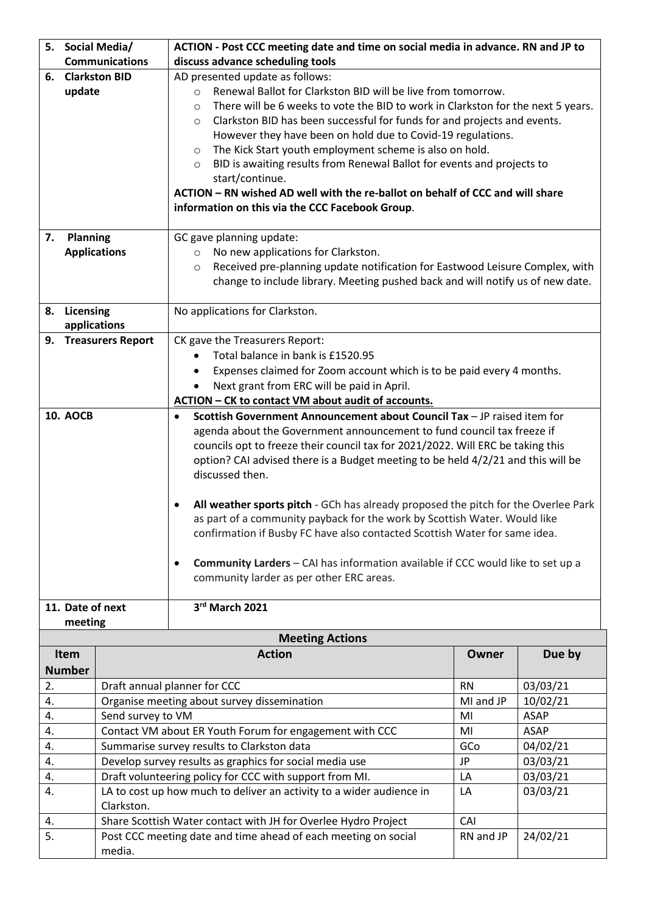|                                                               | 5. Social Media/<br>ACTION - Post CCC meeting date and time on social media in advance. RN and JP to |                                                                                                                                                                     |                                                              |                         |  |  |
|---------------------------------------------------------------|------------------------------------------------------------------------------------------------------|---------------------------------------------------------------------------------------------------------------------------------------------------------------------|--------------------------------------------------------------|-------------------------|--|--|
|                                                               | <b>Communications</b>                                                                                | discuss advance scheduling tools                                                                                                                                    |                                                              |                         |  |  |
| <b>Clarkston BID</b><br>AD presented update as follows:<br>6. |                                                                                                      |                                                                                                                                                                     |                                                              |                         |  |  |
| update                                                        |                                                                                                      | $\circ$                                                                                                                                                             | Renewal Ballot for Clarkston BID will be live from tomorrow. |                         |  |  |
|                                                               |                                                                                                      | There will be 6 weeks to vote the BID to work in Clarkston for the next 5 years.<br>$\circ$                                                                         |                                                              |                         |  |  |
|                                                               |                                                                                                      | Clarkston BID has been successful for funds for and projects and events.<br>$\circ$                                                                                 |                                                              |                         |  |  |
|                                                               |                                                                                                      | However they have been on hold due to Covid-19 regulations.                                                                                                         |                                                              |                         |  |  |
|                                                               |                                                                                                      | The Kick Start youth employment scheme is also on hold.<br>$\circ$                                                                                                  |                                                              |                         |  |  |
|                                                               |                                                                                                      | BID is awaiting results from Renewal Ballot for events and projects to<br>$\circ$                                                                                   |                                                              |                         |  |  |
|                                                               |                                                                                                      | start/continue.<br>ACTION - RN wished AD well with the re-ballot on behalf of CCC and will share                                                                    |                                                              |                         |  |  |
|                                                               |                                                                                                      | information on this via the CCC Facebook Group.                                                                                                                     |                                                              |                         |  |  |
|                                                               |                                                                                                      |                                                                                                                                                                     |                                                              |                         |  |  |
| <b>Planning</b><br>7.                                         |                                                                                                      | GC gave planning update:                                                                                                                                            |                                                              |                         |  |  |
| <b>Applications</b>                                           |                                                                                                      | No new applications for Clarkston.<br>$\circ$                                                                                                                       |                                                              |                         |  |  |
|                                                               |                                                                                                      | Received pre-planning update notification for Eastwood Leisure Complex, with<br>$\circ$                                                                             |                                                              |                         |  |  |
|                                                               |                                                                                                      | change to include library. Meeting pushed back and will notify us of new date.                                                                                      |                                                              |                         |  |  |
|                                                               |                                                                                                      |                                                                                                                                                                     |                                                              |                         |  |  |
| 8. Licensing                                                  |                                                                                                      | No applications for Clarkston.                                                                                                                                      |                                                              |                         |  |  |
|                                                               | applications                                                                                         |                                                                                                                                                                     |                                                              |                         |  |  |
| 9. Treasurers Report                                          |                                                                                                      | CK gave the Treasurers Report:                                                                                                                                      |                                                              |                         |  |  |
|                                                               |                                                                                                      | Total balance in bank is £1520.95                                                                                                                                   |                                                              |                         |  |  |
|                                                               |                                                                                                      | Expenses claimed for Zoom account which is to be paid every 4 months.                                                                                               |                                                              |                         |  |  |
|                                                               |                                                                                                      | Next grant from ERC will be paid in April.                                                                                                                          |                                                              |                         |  |  |
|                                                               |                                                                                                      | ACTION - CK to contact VM about audit of accounts.                                                                                                                  |                                                              |                         |  |  |
| <b>10. AOCB</b>                                               |                                                                                                      | Scottish Government Announcement about Council Tax - JP raised item for<br>٠                                                                                        |                                                              |                         |  |  |
|                                                               |                                                                                                      | agenda about the Government announcement to fund council tax freeze if                                                                                              |                                                              |                         |  |  |
|                                                               |                                                                                                      | councils opt to freeze their council tax for 2021/2022. Will ERC be taking this<br>option? CAI advised there is a Budget meeting to be held 4/2/21 and this will be |                                                              |                         |  |  |
|                                                               |                                                                                                      | discussed then.                                                                                                                                                     |                                                              |                         |  |  |
|                                                               |                                                                                                      |                                                                                                                                                                     |                                                              |                         |  |  |
|                                                               |                                                                                                      | All weather sports pitch - GCh has already proposed the pitch for the Overlee Park<br>٠                                                                             |                                                              |                         |  |  |
|                                                               |                                                                                                      | as part of a community payback for the work by Scottish Water. Would like                                                                                           |                                                              |                         |  |  |
|                                                               |                                                                                                      | confirmation if Busby FC have also contacted Scottish Water for same idea.                                                                                          |                                                              |                         |  |  |
|                                                               |                                                                                                      |                                                                                                                                                                     |                                                              |                         |  |  |
|                                                               |                                                                                                      | <b>Community Larders</b> - CAI has information available if CCC would like to set up a<br>$\bullet$                                                                 |                                                              |                         |  |  |
|                                                               |                                                                                                      | community larder as per other ERC areas.                                                                                                                            |                                                              |                         |  |  |
|                                                               |                                                                                                      |                                                                                                                                                                     |                                                              |                         |  |  |
| 11. Date of next                                              |                                                                                                      | 3rd March 2021                                                                                                                                                      |                                                              |                         |  |  |
| meeting                                                       |                                                                                                      |                                                                                                                                                                     |                                                              |                         |  |  |
|                                                               |                                                                                                      | <b>Meeting Actions</b>                                                                                                                                              |                                                              |                         |  |  |
| <b>Item</b>                                                   |                                                                                                      | <b>Action</b>                                                                                                                                                       | Owner                                                        | Due by                  |  |  |
| <b>Number</b>                                                 |                                                                                                      |                                                                                                                                                                     |                                                              |                         |  |  |
| 2.                                                            |                                                                                                      | Draft annual planner for CCC                                                                                                                                        | <b>RN</b>                                                    | 03/03/21                |  |  |
| 4.<br>4.                                                      | Send survey to VM                                                                                    | Organise meeting about survey dissemination                                                                                                                         | MI and JP<br>MI                                              | 10/02/21<br><b>ASAP</b> |  |  |
| 4.                                                            |                                                                                                      | Contact VM about ER Youth Forum for engagement with CCC                                                                                                             | MI                                                           | <b>ASAP</b>             |  |  |
| 4.                                                            |                                                                                                      | Summarise survey results to Clarkston data                                                                                                                          | GCo                                                          | 04/02/21                |  |  |
| 4.                                                            |                                                                                                      | Develop survey results as graphics for social media use                                                                                                             | JP                                                           | 03/03/21                |  |  |
| 4.                                                            |                                                                                                      | Draft volunteering policy for CCC with support from MI.                                                                                                             | LA                                                           | 03/03/21                |  |  |
| 4.                                                            |                                                                                                      | LA to cost up how much to deliver an activity to a wider audience in                                                                                                | LA                                                           | 03/03/21                |  |  |
| Clarkston.                                                    |                                                                                                      |                                                                                                                                                                     |                                                              |                         |  |  |
| 4.                                                            |                                                                                                      | Share Scottish Water contact with JH for Overlee Hydro Project                                                                                                      | CAI                                                          |                         |  |  |
| 5.                                                            |                                                                                                      | Post CCC meeting date and time ahead of each meeting on social                                                                                                      | RN and JP                                                    | 24/02/21                |  |  |
|                                                               | media.                                                                                               |                                                                                                                                                                     |                                                              |                         |  |  |